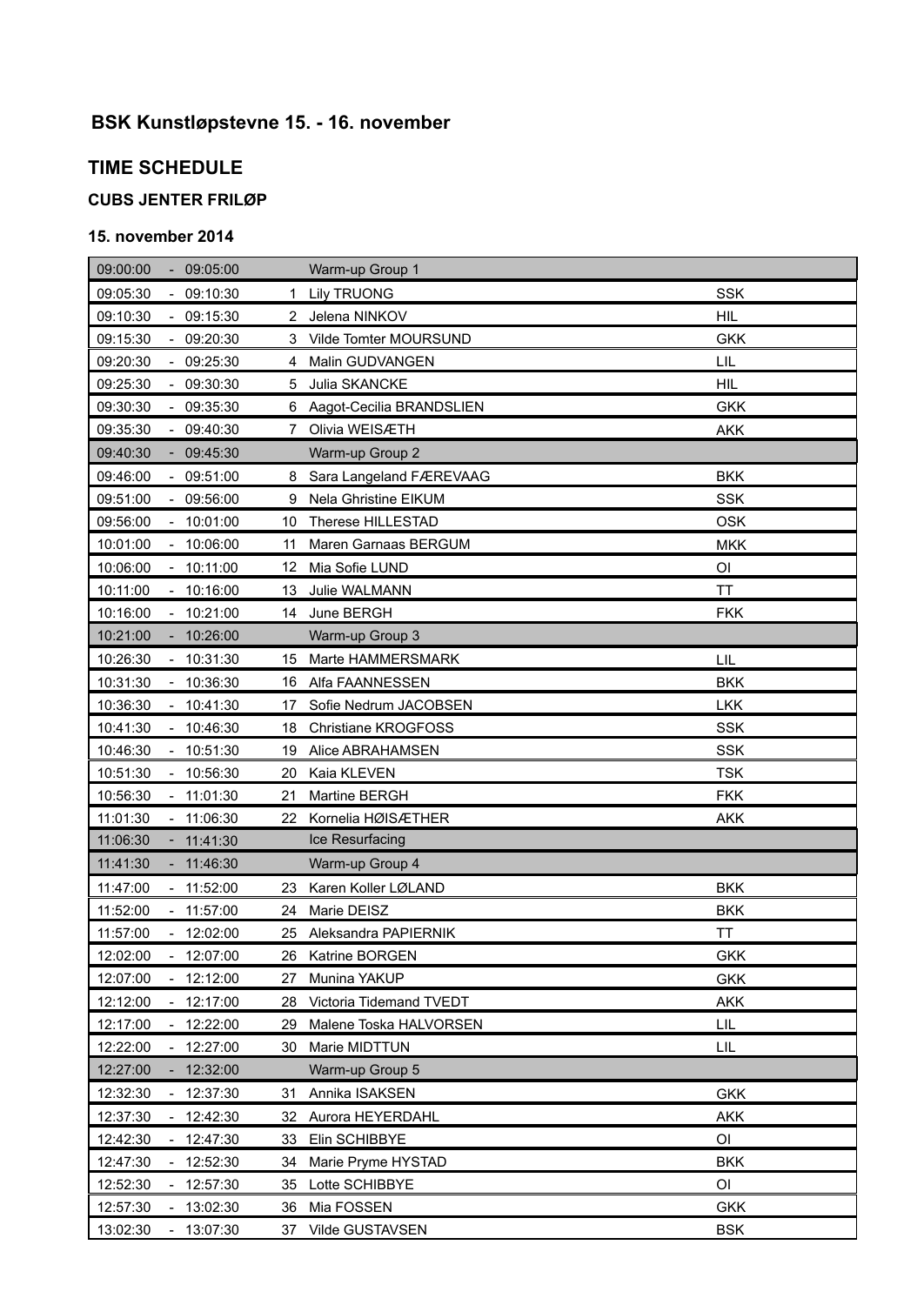# **BSK Kunstløpstevne 15. - 16. november**

## **TIME SCHEDULE**

### **CUBS JENTER FRILØP**

#### **15. november 2014**

| 09:00:00<br>09:05:00                                | Warm-up Group 1                  |            |
|-----------------------------------------------------|----------------------------------|------------|
| $-09:10:30$<br>09:05:30                             | <b>Lily TRUONG</b><br>1.         | <b>SSK</b> |
| 09:10:30<br>09:15:30                                | Jelena NINKOV<br>2               | <b>HIL</b> |
| 09:15:30<br>$-09:20:30$                             | Vilde Tomter MOURSUND<br>3       | <b>GKK</b> |
| 09:20:30<br>09:25:30<br>$\mathcal{L}_{\mathcal{A}}$ | Malin GUDVANGEN<br>4             | LIL        |
| 09:25:30<br>$-09:30:30$                             | Julia SKANCKE<br>5               | <b>HIL</b> |
| 09:35:30<br>09:30:30<br>$\sim$                      | Aagot-Cecilia BRANDSLIEN<br>6.   | <b>GKK</b> |
| 09:35:30<br>$-09:40:30$                             | Olivia WEISÆTH<br>7              | <b>AKK</b> |
| 09:40:30<br>09:45:30<br>$\sim$                      | Warm-up Group 2                  |            |
| 09:46:00<br>$-09:51:00$                             | Sara Langeland FÆREVAAG<br>8     | <b>BKK</b> |
| $-09:56:00$<br>09:51:00                             | Nela Ghristine EIKUM<br>9        | <b>SSK</b> |
| 09:56:00<br>10:01:00                                | Therese HILLESTAD<br>10          | <b>OSK</b> |
| 10:01:00<br>$-10:06:00$                             | Maren Garnaas BERGUM<br>11       | <b>MKK</b> |
| $-10:11:00$<br>10:06:00                             | Mia Sofie LUND<br>12             | OI         |
| 10:11:00<br>$-10:16:00$                             | Julie WALMANN<br>13              | <b>TT</b>  |
| 10:16:00<br>10:21:00                                | June BERGH<br>14                 | <b>FKK</b> |
| 10:21:00<br>10:26:00<br>$\overline{\phantom{a}}$    | Warm-up Group 3                  |            |
| 10:31:30<br>10:26:30<br>$\overline{\phantom{a}}$    | Marte HAMMERSMARK<br>15          | LIL        |
| 10:36:30<br>10:31:30<br>$\blacksquare$              | Alfa FAANNESSEN<br>16            | <b>BKK</b> |
| 10:36:30<br>10:41:30<br>$\overline{\phantom{a}}$    | Sofie Nedrum JACOBSEN<br>17      | <b>LKK</b> |
| 10:41:30<br>10:46:30<br>$\blacksquare$              | <b>Christiane KROGFOSS</b><br>18 | <b>SSK</b> |
| $-10:51:30$<br>10:46:30                             | Alice ABRAHAMSEN<br>19           | <b>SSK</b> |
| 10:51:30<br>10:56:30                                | Kaia KLEVEN<br>20                | <b>TSK</b> |
| 10:56:30<br>$-11:01:30$                             | Martine BERGH<br>21              | <b>FKK</b> |
| 11:01:30<br>11:06:30                                | Kornelia HØISÆTHER<br>22         | <b>AKK</b> |
| 11:06:30<br>11:41:30<br>$\blacksquare$              | Ice Resurfacing                  |            |
| 11:41:30<br>11:46:30                                | Warm-up Group 4                  |            |
| 11:47:00<br>$-11:52:00$                             | Karen Koller LØLAND<br>23        | <b>BKK</b> |
| 11:57:00<br>11:52:00                                | Marie DEISZ<br>24                | <b>BKK</b> |
| 12:02:00<br>11:57:00<br>$\overline{\phantom{a}}$    | Aleksandra PAPIERNIK<br>25       | TT         |
| 12:02:00<br>12:07:00                                | 26 Katrine BORGEN                | <b>GKK</b> |
| 12:07:00<br>12:12:00                                | Munina YAKUP<br>27               | <b>GKK</b> |
| 12:12:00<br>12:17:00                                | Victoria Tidemand TVEDT<br>28    | <b>AKK</b> |
| 12:17:00<br>12:22:00                                | Malene Toska HALVORSEN<br>29.    | LIL        |
| 12:22:00<br>12:27:00                                | Marie MIDTTUN<br>30              | LIL        |
| 12:27:00<br>12:32:00                                | Warm-up Group 5                  |            |
| 12:32:30<br>$-12:37:30$                             | Annika ISAKSEN<br>31             | <b>GKK</b> |
| $-12:42:30$<br>12:37:30                             | 32<br>Aurora HEYERDAHL           | <b>AKK</b> |
| 12:42:30<br>12:47:30<br>$\overline{\phantom{a}}$    | 33<br>Elin SCHIBBYE              | OI         |
| 12:52:30<br>12:47:30                                | Marie Pryme HYSTAD<br>34         | <b>BKK</b> |
| 12:52:30<br>12:57:30<br>$\blacksquare$              | Lotte SCHIBBYE<br>35             | OI         |
| 12:57:30<br>13:02:30<br>$\blacksquare$              | 36<br>Mia FOSSEN                 | <b>GKK</b> |
| 13:02:30<br>13:07:30                                | Vilde GUSTAVSEN<br>37            | <b>BSK</b> |